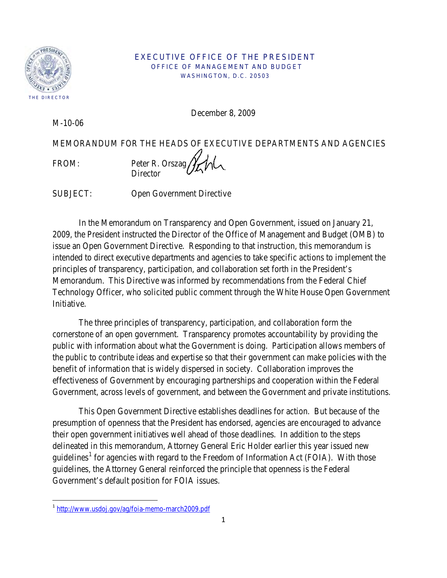

## EXECUTIVE OFFICE OF THE PRESIDENT OFFICE OF MANAGEMENT AND BUDGET WASHINGTON, D.C. 20503

December 8, 2009

M-10-06

MEMORANDUM FOR THE HEADS OF EXECUTIVE DEPARTMENTS AND AGENCIES

 $\overline{\phantom{0}}$ 

FROM: Peter R. Orszag **Director** 

SUBJECT: Open Government Directive

In the Memorandum on Transparency and Open Government, issued on January 21, 2009, the President instructed the Director of the Office of Management and Budget (OMB) to issue an Open Government Directive. Responding to that instruction, this memorandum is intended to direct executive departments and agencies to take specific actions to implement the principles of transparency, participation, and collaboration set forth in the President's Memorandum. This Directive was informed by recommendations from the Federal Chief Technology Officer, who solicited public comment through the White House Open Government Initiative.

The three principles of transparency, participation, and collaboration form the cornerstone of an open government. Transparency promotes accountability by providing the public with information about what the Government is doing. Participation allows members of the public to contribute ideas and expertise so that their government can make policies with the benefit of information that is widely dispersed in society. Collaboration improves the effectiveness of Government by encouraging partnerships and cooperation within the Federal Government, across levels of government, and between the Government and private institutions.

This Open Government Directive establishes deadlines for action. But because of the presumption of openness that the President has endorsed, agencies are encouraged to advance their open government initiatives well ahead of those deadlines. In addition to the steps delineated in this memorandum, Attorney General Eric Holder earlier this year issued new guidelines<sup>[1](#page-0-0)</sup> for agencies with regard to the Freedom of Information Act (FOIA). With those guidelines, the Attorney General reinforced the principle that openness is the Federal Government's default position for FOIA issues.

<span id="page-0-0"></span><sup>&</sup>lt;sup>1</sup> <http://www.usdoj.gov/ag/foia-memo-march2009.pdf>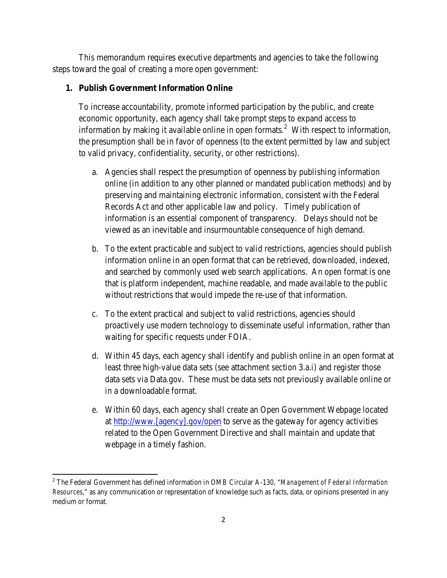This memorandum requires executive departments and agencies to take the following steps toward the goal of creating a more open government:

## **1. Publish Government Information Online**

To increase accountability, promote informed participation by the public, and create economic opportunity, each agency shall take prompt steps to expand access to information by making it available online in open formats.<sup>[2](#page-1-0)</sup> With respect to information, the presumption shall be in favor of openness (to the extent permitted by law and subject to valid privacy, confidentiality, security, or other restrictions).

- a. Agencies shall respect the presumption of openness by publishing information online (in addition to any other planned or mandated publication methods) and by preserving and maintaining electronic information, consistent with the Federal Records Act and other applicable law and policy. Timely publication of information is an essential component of transparency. Delays should not be viewed as an inevitable and insurmountable consequence of high demand.
- b. To the extent practicable and subject to valid restrictions, agencies should publish information online in an open format that can be retrieved, downloaded, indexed, and searched by commonly used web search applications. An open format is one that is platform independent, machine readable, and made available to the public without restrictions that would impede the re-use of that information.
- c. To the extent practical and subject to valid restrictions, agencies should proactively use modern technology to disseminate useful information, rather than waiting for specific requests under FOIA.
- d. Within 45 days, each agency shall identify and publish online in an open format at least three high-value data sets (see attachment section 3.a.i) and register those data sets via Data.gov. These must be data sets not previously available online or in a downloadable format.
- e. Within 60 days, each agency shall create an Open Government Webpage located at http://www.[agency].gov/open to serve as the gateway for agency activities related to the Open Government Directive and shall maintain and update that webpage in a timely fashion.

 $\overline{\phantom{0}}$ 

<span id="page-1-0"></span><sup>2</sup> The Federal Government has defined information in OMB Circular A-130, "*Management of Federal Information Resources*," as any communication or representation of knowledge such as facts, data, or opinions presented in any medium or format.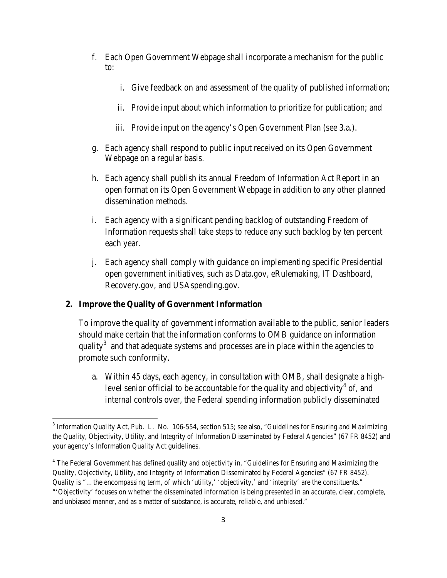- f. Each Open Government Webpage shall incorporate a mechanism for the public to:
	- i. Give feedback on and assessment of the quality of published information;
	- ii. Provide input about which information to prioritize for publication; and
	- iii. Provide input on the agency's Open Government Plan (see 3.a.).
- g. Each agency shall respond to public input received on its Open Government Webpage on a regular basis.
- h. Each agency shall publish its annual Freedom of Information Act Report in an open format on its Open Government Webpage in addition to any other planned dissemination methods.
- i. Each agency with a significant pending backlog of outstanding Freedom of Information requests shall take steps to reduce any such backlog by ten percent each year.
- j. Each agency shall comply with guidance on implementing specific Presidential open government initiatives, such as Data.gov, eRulemaking, IT Dashboard, Recovery.gov, and USAspending.gov.

# **2. Improve the Quality of Government Information**

 $\overline{\phantom{0}}$ 

To improve the quality of government information available to the public, senior leaders should make certain that the information conforms to OMB guidance on information quality<sup>[3](#page-2-0)</sup> and that adequate systems and processes are in place within the agencies to promote such conformity.

a. Within 45 days, each agency, in consultation with OMB, shall designate a high-level senior official to be accountable for the quality and objectivity<sup>[4](#page-2-1)</sup> of, and internal controls over, the Federal spending information publicly disseminated

<span id="page-2-0"></span><sup>3</sup> Information Quality Act, Pub. L. No. 106-554, section 515; see also, "Guidelines for Ensuring and Maximizing the Quality, Objectivity, Utility, and Integrity of Information Disseminated by Federal Agencies" (67 FR 8452) and your agency's Information Quality Act guidelines.

<span id="page-2-1"></span><sup>&</sup>lt;sup>4</sup> The Federal Government has defined quality and objectivity in, "Guidelines for Ensuring and Maximizing the Quality, Objectivity, Utility, and Integrity of Information Disseminated by Federal Agencies" (67 FR 8452). Quality is "…the encompassing term, of which 'utility,' 'objectivity,' and 'integrity' are the constituents." "'Objectivity' focuses on whether the disseminated information is being presented in an accurate, clear, complete, and unbiased manner, and as a matter of substance, is accurate, reliable, and unbiased."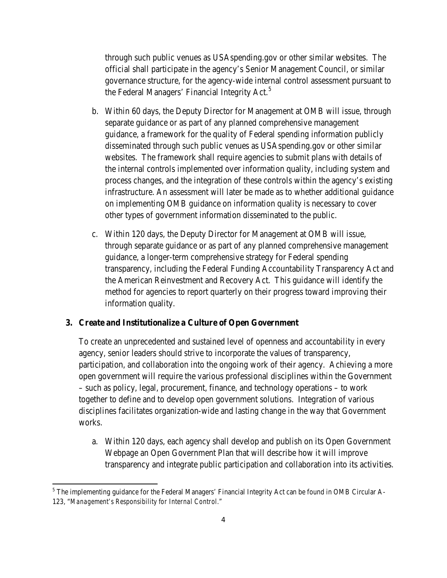through such public venues as USAspending.gov or other similar websites. The official shall participate in the agency's Senior Management Council, or similar governance structure, for the agency-wide internal control assessment pursuant to the Federal Managers' Financial Integrity Act.<sup>[5](#page-3-0)</sup>

- b. Within 60 days, the Deputy Director for Management at OMB will issue, through separate guidance or as part of any planned comprehensive management guidance, a framework for the quality of Federal spending information publicly disseminated through such public venues as USAspending.gov or other similar websites. The framework shall require agencies to submit plans with details of the internal controls implemented over information quality, including system and process changes, and the integration of these controls within the agency's existing infrastructure. An assessment will later be made as to whether additional guidance on implementing OMB guidance on information quality is necessary to cover other types of government information disseminated to the public.
- c. Within 120 days, the Deputy Director for Management at OMB will issue, through separate guidance or as part of any planned comprehensive management guidance, a longer-term comprehensive strategy for Federal spending transparency, including the Federal Funding Accountability Transparency Act and the American Reinvestment and Recovery Act. This guidance will identify the method for agencies to report quarterly on their progress toward improving their information quality.

## **3. Create and Institutionalize a Culture of Open Government**

 $\overline{\phantom{0}}$ 

 To create an unprecedented and sustained level of openness and accountability in every agency, senior leaders should strive to incorporate the values of transparency, participation, and collaboration into the ongoing work of their agency. Achieving a more open government will require the various professional disciplines within the Government – such as policy, legal, procurement, finance, and technology operations – to work together to define and to develop open government solutions. Integration of various disciplines facilitates organization-wide and lasting change in the way that Government works.

a. Within 120 days, each agency shall develop and publish on its Open Government Webpage an Open Government Plan that will describe how it will improve transparency and integrate public participation and collaboration into its activities.

<span id="page-3-0"></span> $<sup>5</sup>$  The implementing guidance for the Federal Managers' Financial Integrity Act can be found in OMB Circular A-</sup> 123, "*Management's Responsibility for Internal Control.*"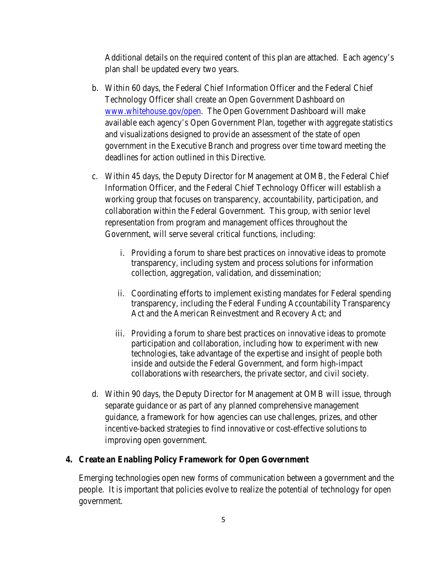Additional details on the required content of this plan are attached. Each agency's plan shall be updated every two years.

- b. Within 60 days, the Federal Chief Information Officer and the Federal Chief Technology Officer shall create an Open Government Dashboard on [www.whitehouse.gov/open.](http://www.whitehouse.gov/open) The Open Government Dashboard will make available each agency's Open Government Plan, together with aggregate statistics and visualizations designed to provide an assessment of the state of open government in the Executive Branch and progress over time toward meeting the deadlines for action outlined in this Directive.
- c. Within 45 days, the Deputy Director for Management at OMB, the Federal Chief Information Officer, and the Federal Chief Technology Officer will establish a working group that focuses on transparency, accountability, participation, and collaboration within the Federal Government. This group, with senior level representation from program and management offices throughout the Government, will serve several critical functions, including:
	- i. Providing a forum to share best practices on innovative ideas to promote transparency, including system and process solutions for information collection, aggregation, validation, and dissemination;
	- ii. Coordinating efforts to implement existing mandates for Federal spending transparency, including the Federal Funding Accountability Transparency Act and the American Reinvestment and Recovery Act; and
	- iii. Providing a forum to share best practices on innovative ideas to promote participation and collaboration, including how to experiment with new technologies, take advantage of the expertise and insight of people both inside and outside the Federal Government, and form high-impact collaborations with researchers, the private sector, and civil society.
- d. Within 90 days, the Deputy Director for Management at OMB will issue, through separate guidance or as part of any planned comprehensive management guidance, a framework for how agencies can use challenges, prizes, and other incentive-backed strategies to find innovative or cost-effective solutions to improving open government.

## **4. Create an Enabling Policy Framework for Open Government**

Emerging technologies open new forms of communication between a government and the people. It is important that policies evolve to realize the potential of technology for open government.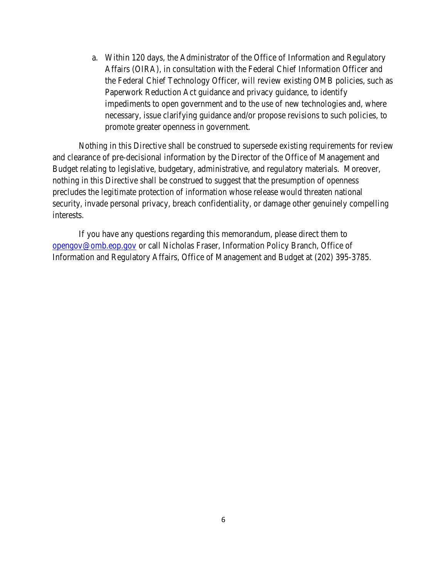a. Within 120 days, the Administrator of the Office of Information and Regulatory Affairs (OIRA), in consultation with the Federal Chief Information Officer and the Federal Chief Technology Officer, will review existing OMB policies, such as Paperwork Reduction Act guidance and privacy guidance, to identify impediments to open government and to the use of new technologies and, where necessary, issue clarifying guidance and/or propose revisions to such policies, to promote greater openness in government.

 Nothing in this Directive shall be construed to supersede existing requirements for review and clearance of pre-decisional information by the Director of the Office of Management and Budget relating to legislative, budgetary, administrative, and regulatory materials. Moreover, nothing in this Directive shall be construed to suggest that the presumption of openness precludes the legitimate protection of information whose release would threaten national security, invade personal privacy, breach confidentiality, or damage other genuinely compelling interests.

If you have any questions regarding this memorandum, please direct them to [opengov@omb.eop.gov](mailto:opengov@omb.eop.gov) or call Nicholas Fraser, Information Policy Branch, Office of Information and Regulatory Affairs, Office of Management and Budget at (202) 395-3785.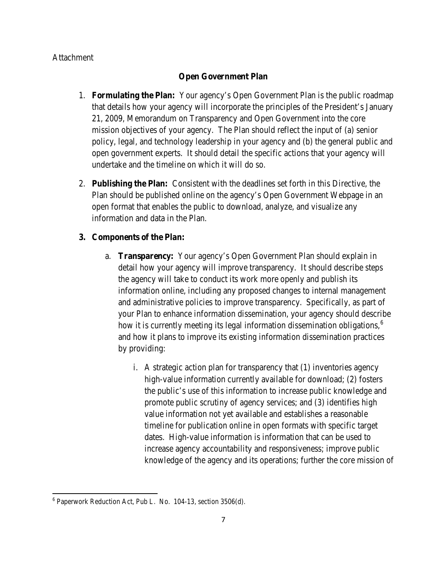## Attachment

## **Open Government Plan**

- 1. **Formulating the Plan:** Your agency's Open Government Plan is the public roadmap that details how your agency will incorporate the principles of the President's January 21, 2009, Memorandum on Transparency and Open Government into the core mission objectives of your agency. The Plan should reflect the input of (a) senior policy, legal, and technology leadership in your agency and (b) the general public and open government experts. It should detail the specific actions that your agency will undertake and the timeline on which it will do so.
- 2. **Publishing the Plan:** Consistent with the deadlines set forth in this Directive, the Plan should be published online on the agency's Open Government Webpage in an open format that enables the public to download, analyze, and visualize any information and data in the Plan.

### **3. Components of the Plan:**

- a. **Transparency:** Your agency's Open Government Plan should explain in detail how your agency will improve transparency. It should describe steps the agency will take to conduct its work more openly and publish its information online, including any proposed changes to internal management and administrative policies to improve transparency. Specifically, as part of your Plan to enhance information dissemination, your agency should describe how it is currently meeting its legal information dissemination obligations,<sup>[6](#page-6-0)</sup> and how it plans to improve its existing information dissemination practices by providing:
	- i. A strategic action plan for transparency that (1) inventories agency high-value information currently available for download; (2) fosters the public's use of this information to increase public knowledge and promote public scrutiny of agency services; and (3) identifies high value information not yet available and establishes a reasonable timeline for publication online in open formats with specific target dates. High-value information is information that can be used to increase agency accountability and responsiveness; improve public knowledge of the agency and its operations; further the core mission of

ı

<span id="page-6-0"></span> $6$  Paperwork Reduction Act, Pub L. No. 104-13, section 3506(d).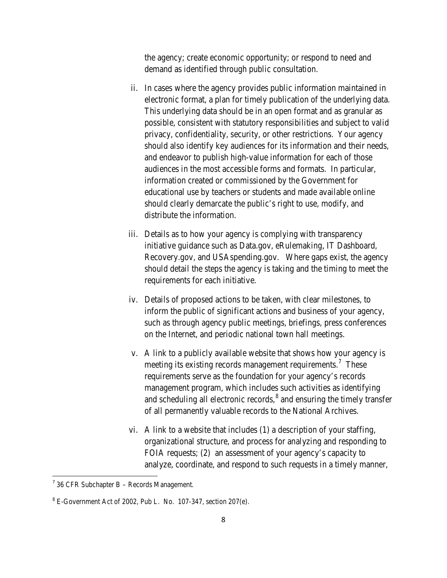the agency; create economic opportunity; or respond to need and demand as identified through public consultation.

- ii. In cases where the agency provides public information maintained in electronic format, a plan for timely publication of the underlying data. This underlying data should be in an open format and as granular as possible, consistent with statutory responsibilities and subject to valid privacy, confidentiality, security, or other restrictions. Your agency should also identify key audiences for its information and their needs, and endeavor to publish high-value information for each of those audiences in the most accessible forms and formats. In particular, information created or commissioned by the Government for educational use by teachers or students and made available online should clearly demarcate the public's right to use, modify, and distribute the information.
- iii. Details as to how your agency is complying with transparency initiative guidance such as Data.gov, eRulemaking, IT Dashboard, Recovery.gov, and USAspending.gov. Where gaps exist, the agency should detail the steps the agency is taking and the timing to meet the requirements for each initiative.
- iv. Details of proposed actions to be taken, with clear milestones, to inform the public of significant actions and business of your agency, such as through agency public meetings, briefings, press conferences on the Internet, and periodic national town hall meetings.
- v. A link to a publicly available website that shows how your agency is meeting its existing records management requirements.<sup>[7](#page-7-0)</sup> These requirements serve as the foundation for your agency's records management program, which includes such activities as identifying and scheduling all electronic records,<sup>[8](#page-7-1)</sup> and ensuring the timely transfer of all permanently valuable records to the National Archives.
- vi. A link to a website that includes (1) a description of your staffing, organizational structure, and process for analyzing and responding to FOIA requests; (2) an assessment of your agency's capacity to analyze, coordinate, and respond to such requests in a timely manner,

ı

<span id="page-7-0"></span> $7$  36 CFR Subchapter B – Records Management.

<span id="page-7-1"></span> $8$  E-Government Act of 2002, Pub L. No. 107-347, section 207(e).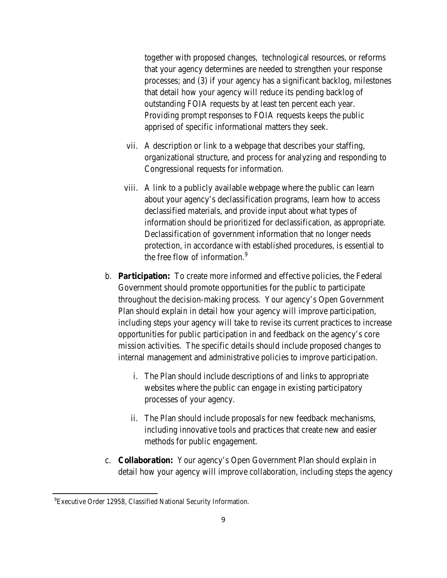together with proposed changes, technological resources, or reforms that your agency determines are needed to strengthen your response processes; and (3) if your agency has a significant backlog, milestones that detail how your agency will reduce its pending backlog of outstanding FOIA requests by at least ten percent each year. Providing prompt responses to FOIA requests keeps the public apprised of specific informational matters they seek.

- vii. A description or link to a webpage that describes your staffing, organizational structure, and process for analyzing and responding to Congressional requests for information.
- viii. A link to a publicly available webpage where the public can learn about your agency's declassification programs, learn how to access declassified materials, and provide input about what types of information should be prioritized for declassification, as appropriate. Declassification of government information that no longer needs protection, in accordance with established procedures, is essential to the free flow of information.<sup>[9](#page-8-0)</sup>
- b. **Participation:** To create more informed and effective policies, the Federal Government should promote opportunities for the public to participate throughout the decision-making process. Your agency's Open Government Plan should explain in detail how your agency will improve participation, including steps your agency will take to revise its current practices to increase opportunities for public participation in and feedback on the agency's core mission activities. The specific details should include proposed changes to internal management and administrative policies to improve participation.
	- i. The Plan should include descriptions of and links to appropriate websites where the public can engage in existing participatory processes of your agency.
	- ii. The Plan should include proposals for new feedback mechanisms, including innovative tools and practices that create new and easier methods for public engagement.
- c. **Collaboration:** Your agency's Open Government Plan should explain in detail how your agency will improve collaboration, including steps the agency

<span id="page-8-0"></span>ı

<sup>&</sup>lt;sup>9</sup> Executive Order 12958, Classified National Security Information.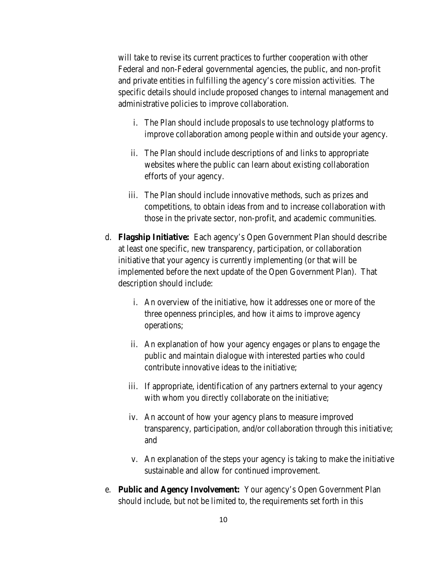will take to revise its current practices to further cooperation with other Federal and non-Federal governmental agencies, the public, and non-profit and private entities in fulfilling the agency's core mission activities. The specific details should include proposed changes to internal management and administrative policies to improve collaboration.

- i. The Plan should include proposals to use technology platforms to improve collaboration among people within and outside your agency.
- ii. The Plan should include descriptions of and links to appropriate websites where the public can learn about existing collaboration efforts of your agency.
- iii. The Plan should include innovative methods, such as prizes and competitions, to obtain ideas from and to increase collaboration with those in the private sector, non-profit, and academic communities.
- d. **Flagship Initiative:** Each agency's Open Government Plan should describe at least one specific, new transparency, participation, or collaboration initiative that your agency is currently implementing (or that will be implemented before the next update of the Open Government Plan). That description should include:
	- i. An overview of the initiative, how it addresses one or more of the three openness principles, and how it aims to improve agency operations;
	- ii. An explanation of how your agency engages or plans to engage the public and maintain dialogue with interested parties who could contribute innovative ideas to the initiative;
	- iii. If appropriate, identification of any partners external to your agency with whom you directly collaborate on the initiative;
	- iv. An account of how your agency plans to measure improved transparency, participation, and/or collaboration through this initiative; and
	- v. An explanation of the steps your agency is taking to make the initiative sustainable and allow for continued improvement.
- e. **Public and Agency Involvement:** Your agency's Open Government Plan should include, but not be limited to, the requirements set forth in this